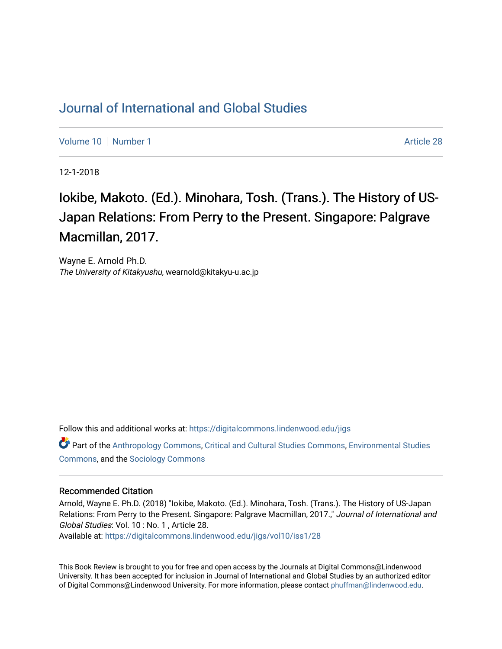## [Journal of International and Global Studies](https://digitalcommons.lindenwood.edu/jigs)

[Volume 10](https://digitalcommons.lindenwood.edu/jigs/vol10) [Number 1](https://digitalcommons.lindenwood.edu/jigs/vol10/iss1) Article 28

12-1-2018

Iokibe, Makoto. (Ed.). Minohara, Tosh. (Trans.). The History of US-Japan Relations: From Perry to the Present. Singapore: Palgrave Macmillan, 2017.

Wayne E. Arnold Ph.D. The University of Kitakyushu, wearnold@kitakyu-u.ac.jp

Follow this and additional works at: [https://digitalcommons.lindenwood.edu/jigs](https://digitalcommons.lindenwood.edu/jigs?utm_source=digitalcommons.lindenwood.edu%2Fjigs%2Fvol10%2Fiss1%2F28&utm_medium=PDF&utm_campaign=PDFCoverPages) 

Part of the [Anthropology Commons](http://network.bepress.com/hgg/discipline/318?utm_source=digitalcommons.lindenwood.edu%2Fjigs%2Fvol10%2Fiss1%2F28&utm_medium=PDF&utm_campaign=PDFCoverPages), [Critical and Cultural Studies Commons](http://network.bepress.com/hgg/discipline/328?utm_source=digitalcommons.lindenwood.edu%2Fjigs%2Fvol10%2Fiss1%2F28&utm_medium=PDF&utm_campaign=PDFCoverPages), [Environmental Studies](http://network.bepress.com/hgg/discipline/1333?utm_source=digitalcommons.lindenwood.edu%2Fjigs%2Fvol10%2Fiss1%2F28&utm_medium=PDF&utm_campaign=PDFCoverPages)  [Commons](http://network.bepress.com/hgg/discipline/1333?utm_source=digitalcommons.lindenwood.edu%2Fjigs%2Fvol10%2Fiss1%2F28&utm_medium=PDF&utm_campaign=PDFCoverPages), and the [Sociology Commons](http://network.bepress.com/hgg/discipline/416?utm_source=digitalcommons.lindenwood.edu%2Fjigs%2Fvol10%2Fiss1%2F28&utm_medium=PDF&utm_campaign=PDFCoverPages)

## Recommended Citation

Arnold, Wayne E. Ph.D. (2018) "Iokibe, Makoto. (Ed.). Minohara, Tosh. (Trans.). The History of US-Japan Relations: From Perry to the Present. Singapore: Palgrave Macmillan, 2017.," Journal of International and Global Studies: Vol. 10 : No. 1 , Article 28.

Available at: [https://digitalcommons.lindenwood.edu/jigs/vol10/iss1/28](https://digitalcommons.lindenwood.edu/jigs/vol10/iss1/28?utm_source=digitalcommons.lindenwood.edu%2Fjigs%2Fvol10%2Fiss1%2F28&utm_medium=PDF&utm_campaign=PDFCoverPages) 

This Book Review is brought to you for free and open access by the Journals at Digital Commons@Lindenwood University. It has been accepted for inclusion in Journal of International and Global Studies by an authorized editor of Digital Commons@Lindenwood University. For more information, please contact [phuffman@lindenwood.edu](mailto:phuffman@lindenwood.edu).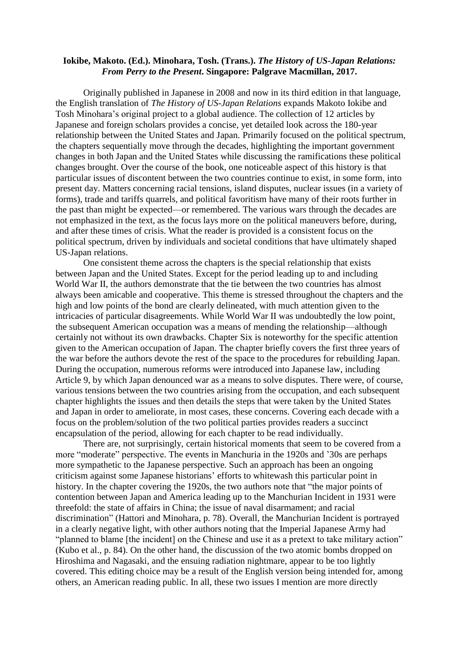## **Iokibe, Makoto. (Ed.). Minohara, Tosh. (Trans.).** *The History of US-Japan Relations: From Perry to the Present***. Singapore: Palgrave Macmillan, 2017.**

Originally published in Japanese in 2008 and now in its third edition in that language, the English translation of *The History of US-Japan Relations* expands Makoto Iokibe and Tosh Minohara's original project to a global audience. The collection of 12 articles by Japanese and foreign scholars provides a concise, yet detailed look across the 180-year relationship between the United States and Japan. Primarily focused on the political spectrum, the chapters sequentially move through the decades, highlighting the important government changes in both Japan and the United States while discussing the ramifications these political changes brought. Over the course of the book, one noticeable aspect of this history is that particular issues of discontent between the two countries continue to exist, in some form, into present day. Matters concerning racial tensions, island disputes, nuclear issues (in a variety of forms), trade and tariffs quarrels, and political favoritism have many of their roots further in the past than might be expected—or remembered. The various wars through the decades are not emphasized in the text, as the focus lays more on the political maneuvers before, during, and after these times of crisis. What the reader is provided is a consistent focus on the political spectrum, driven by individuals and societal conditions that have ultimately shaped US-Japan relations.

One consistent theme across the chapters is the special relationship that exists between Japan and the United States. Except for the period leading up to and including World War II, the authors demonstrate that the tie between the two countries has almost always been amicable and cooperative. This theme is stressed throughout the chapters and the high and low points of the bond are clearly delineated, with much attention given to the intricacies of particular disagreements. While World War II was undoubtedly the low point, the subsequent American occupation was a means of mending the relationship—although certainly not without its own drawbacks. Chapter Six is noteworthy for the specific attention given to the American occupation of Japan. The chapter briefly covers the first three years of the war before the authors devote the rest of the space to the procedures for rebuilding Japan. During the occupation, numerous reforms were introduced into Japanese law, including Article 9, by which Japan denounced war as a means to solve disputes. There were, of course, various tensions between the two countries arising from the occupation, and each subsequent chapter highlights the issues and then details the steps that were taken by the United States and Japan in order to ameliorate, in most cases, these concerns. Covering each decade with a focus on the problem/solution of the two political parties provides readers a succinct encapsulation of the period, allowing for each chapter to be read individually.

There are, not surprisingly, certain historical moments that seem to be covered from a more "moderate" perspective. The events in Manchuria in the 1920s and '30s are perhaps more sympathetic to the Japanese perspective. Such an approach has been an ongoing criticism against some Japanese historians' efforts to whitewash this particular point in history. In the chapter covering the 1920s, the two authors note that "the major points of contention between Japan and America leading up to the Manchurian Incident in 1931 were threefold: the state of affairs in China; the issue of naval disarmament; and racial discrimination" (Hattori and Minohara, p. 78). Overall, the Manchurian Incident is portrayed in a clearly negative light, with other authors noting that the Imperial Japanese Army had "planned to blame [the incident] on the Chinese and use it as a pretext to take military action" (Kubo et al., p. 84). On the other hand, the discussion of the two atomic bombs dropped on Hiroshima and Nagasaki, and the ensuing radiation nightmare, appear to be too lightly covered. This editing choice may be a result of the English version being intended for, among others, an American reading public. In all, these two issues I mention are more directly